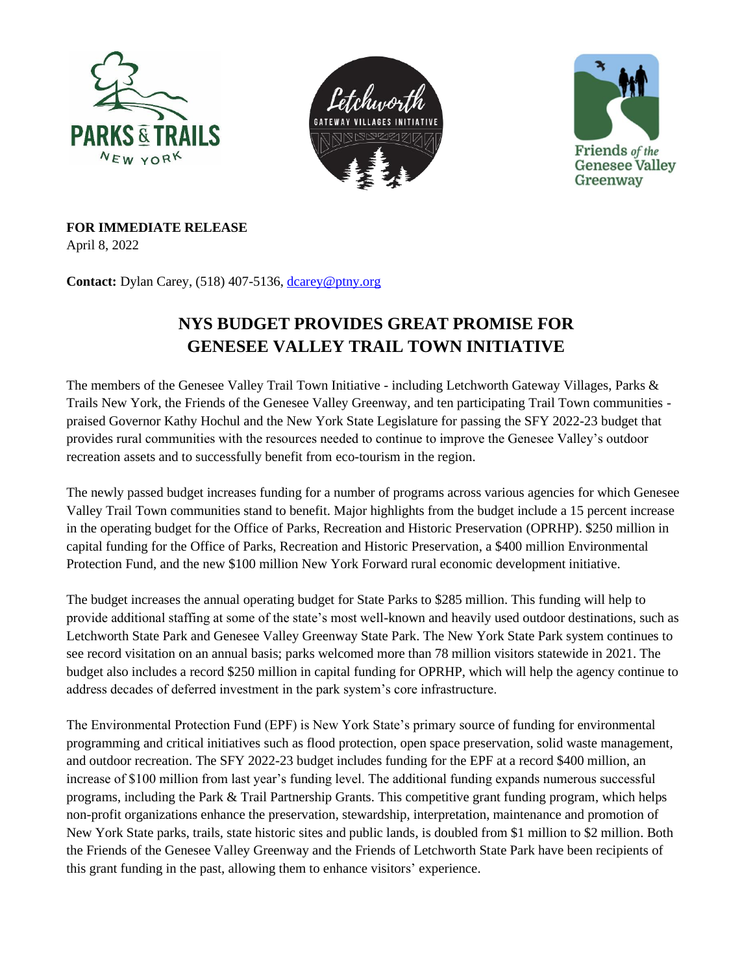





**FOR IMMEDIATE RELEASE**

April 8, 2022

**Contact:** Dylan Carey, (518) 407-5136, [dcarey@ptny.org](mailto:dcarey@ptny.org)

## **NYS BUDGET PROVIDES GREAT PROMISE FOR GENESEE VALLEY TRAIL TOWN INITIATIVE**

The members of the Genesee Valley Trail Town Initiative - including Letchworth Gateway Villages, Parks & Trails New York, the Friends of the Genesee Valley Greenway, and ten participating Trail Town communities praised Governor Kathy Hochul and the New York State Legislature for passing the SFY 2022-23 budget that provides rural communities with the resources needed to continue to improve the Genesee Valley's outdoor recreation assets and to successfully benefit from eco-tourism in the region.

The newly passed budget increases funding for a number of programs across various agencies for which Genesee Valley Trail Town communities stand to benefit. Major highlights from the budget include a 15 percent increase in the operating budget for the Office of Parks, Recreation and Historic Preservation (OPRHP). \$250 million in capital funding for the Office of Parks, Recreation and Historic Preservation, a \$400 million Environmental Protection Fund, and the new \$100 million New York Forward rural economic development initiative.

The budget increases the annual operating budget for State Parks to \$285 million. This funding will help to provide additional staffing at some of the state's most well-known and heavily used outdoor destinations, such as Letchworth State Park and Genesee Valley Greenway State Park. The New York State Park system continues to see record visitation on an annual basis; parks welcomed more than 78 million visitors statewide in 2021. The budget also includes a record \$250 million in capital funding for OPRHP, which will help the agency continue to address decades of deferred investment in the park system's core infrastructure.

The Environmental Protection Fund (EPF) is New York State's primary source of funding for environmental programming and critical initiatives such as flood protection, open space preservation, solid waste management, and outdoor recreation. The SFY 2022-23 budget includes funding for the EPF at a record \$400 million, an increase of \$100 million from last year's funding level. The additional funding expands numerous successful programs, including the Park & Trail Partnership Grants. This competitive grant funding program, which helps non-profit organizations enhance the preservation, stewardship, interpretation, maintenance and promotion of New York State parks, trails, state historic sites and public lands, is doubled from \$1 million to \$2 million. Both the Friends of the Genesee Valley Greenway and the Friends of Letchworth State Park have been recipients of this grant funding in the past, allowing them to enhance visitors' experience.